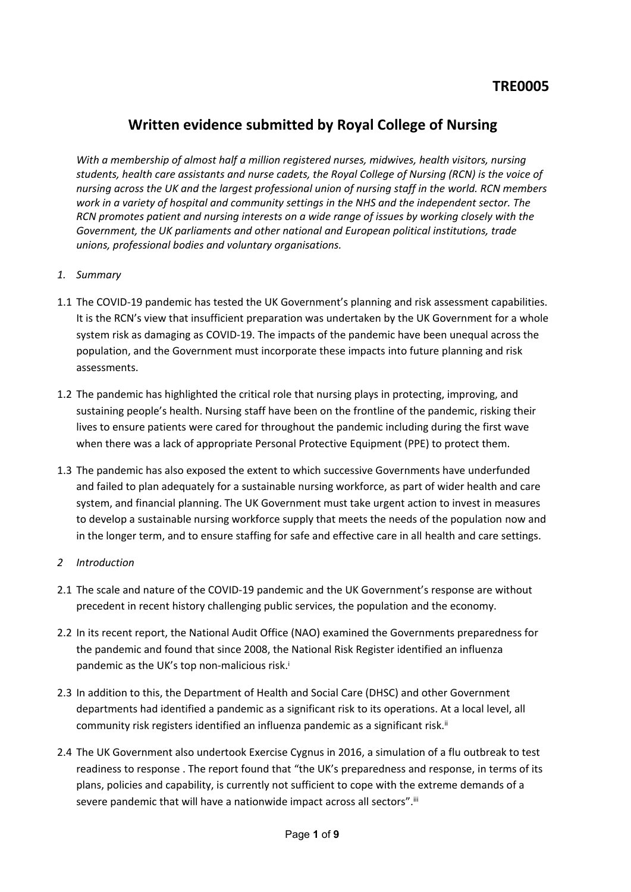## **Written evidence submitted by Royal College of Nursing**

*With a membership of almost half a million registered nurses, midwives, health visitors, nursing students, health care assistants and nurse cadets, the Royal College of Nursing (RCN) is the voice of nursing across the UK and the largest professional union of nursing staff in the world. RCN members work in a variety of hospital and community settings in the NHS and the independent sector. The RCN promotes patient and nursing interests on a wide range of issues by working closely with the Government, the UK parliaments and other national and European political institutions, trade unions, professional bodies and voluntary organisations.*

- *1. Summary*
- 1.1 The COVID-19 pandemic has tested the UK Government's planning and risk assessment capabilities. It is the RCN's view that insufficient preparation was undertaken by the UK Government for a whole system risk as damaging as COVID-19. The impacts of the pandemic have been unequal across the population, and the Government must incorporate these impacts into future planning and risk assessments.
- 1.2 The pandemic has highlighted the critical role that nursing plays in protecting, improving, and sustaining people's health. Nursing staff have been on the frontline of the pandemic, risking their lives to ensure patients were cared for throughout the pandemic including during the first wave when there was a lack of appropriate Personal Protective Equipment (PPE) to protect them.
- 1.3 The pandemic has also exposed the extent to which successive Governments have underfunded and failed to plan adequately for a sustainable nursing workforce, as part of wider health and care system, and financial planning. The UK Government must take urgent action to invest in measures to develop a sustainable nursing workforce supply that meets the needs of the population now and in the longer term, and to ensure staffing for safe and effective care in all health and care settings.

## *2 Introduction*

- 2.1 The scale and nature of the COVID-19 pandemic and the UK Government's response are without precedent in recent history challenging public services, the population and the economy.
- 2.2 In its recent report, the National Audit Office (NAO) examined the Governments preparedness for the pandemic and found that since 2008, the National Risk Register identified an influenza pandemic as the UK's top non-malicious risk.<sup>i</sup>
- 2.3 In addition to this, the Department of Health and Social Care (DHSC) and other Government departments had identified a pandemic as a significant risk to its operations. At a local level, all community risk registers identified an influenza pandemic as a significant risk.<sup>ii</sup>
- 2.4 The UK Government also undertook Exercise Cygnus in 2016, a simulation of a flu outbreak to test readiness to response . The report found that "the UK's preparedness and response, in terms of its plans, policies and capability, is currently not sufficient to cope with the extreme demands of a severe pandemic that will have a nationwide impact across all sectors". iii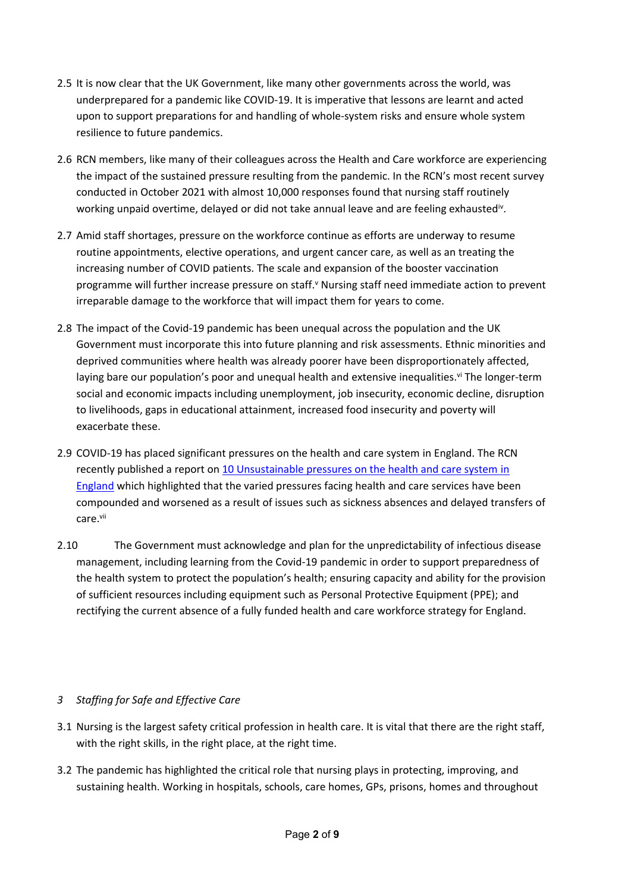- 2.5 It is now clear that the UK Government, like many other governments across the world, was underprepared for a pandemic like COVID-19. It is imperative that lessons are learnt and acted upon to support preparations for and handling of whole-system risks and ensure whole system resilience to future pandemics.
- 2.6 RCN members, like many of their colleagues across the Health and Care workforce are experiencing the impact of the sustained pressure resulting from the pandemic. In the RCN's most recent survey conducted in October 2021 with almost 10,000 responses found that nursing staff routinely working unpaid overtime, delayed or did not take annual leave and are feeling exhausted<sup>iv</sup>.
- 2.7 Amid staff shortages, pressure on the workforce continue as efforts are underway to resume routine appointments, elective operations, and urgent cancer care, as well as an treating the increasing number of COVID patients. The scale and expansion of the booster vaccination programme will further increase pressure on staff.<sup>v</sup> Nursing staff need immediate action to prevent irreparable damage to the workforce that will impact them for years to come.
- 2.8 The impact of the Covid-19 pandemic has been unequal across the population and the UK Government must incorporate this into future planning and risk assessments. Ethnic minorities and deprived communities where health was already poorer have been disproportionately affected, laying bare our population's poor and unequal health and extensive inequalities. vi The longer-term social and economic impacts including unemployment, job insecurity, economic decline, disruption to livelihoods, gaps in educational attainment, increased food insecurity and poverty will exacerbate these.
- 2.9 COVID-19 has placed significant pressures on the health and care system in England. The RCN recently published a report on [10](https://www.rcn.org.uk/professional-development/publications/10-unsustainable-pressures-on-the-health-and-care-system-in-england-uk-pub-010-047) [Unsustainable](https://www.rcn.org.uk/professional-development/publications/10-unsustainable-pressures-on-the-health-and-care-system-in-england-uk-pub-010-047) [pressures](https://www.rcn.org.uk/professional-development/publications/10-unsustainable-pressures-on-the-health-and-care-system-in-england-uk-pub-010-047) [on](https://www.rcn.org.uk/professional-development/publications/10-unsustainable-pressures-on-the-health-and-care-system-in-england-uk-pub-010-047) [the](https://www.rcn.org.uk/professional-development/publications/10-unsustainable-pressures-on-the-health-and-care-system-in-england-uk-pub-010-047) [health](https://www.rcn.org.uk/professional-development/publications/10-unsustainable-pressures-on-the-health-and-care-system-in-england-uk-pub-010-047) [and](https://www.rcn.org.uk/professional-development/publications/10-unsustainable-pressures-on-the-health-and-care-system-in-england-uk-pub-010-047) [care](https://www.rcn.org.uk/professional-development/publications/10-unsustainable-pressures-on-the-health-and-care-system-in-england-uk-pub-010-047) [system](https://www.rcn.org.uk/professional-development/publications/10-unsustainable-pressures-on-the-health-and-care-system-in-england-uk-pub-010-047) [in](https://www.rcn.org.uk/professional-development/publications/10-unsustainable-pressures-on-the-health-and-care-system-in-england-uk-pub-010-047) [England](https://www.rcn.org.uk/professional-development/publications/10-unsustainable-pressures-on-the-health-and-care-system-in-england-uk-pub-010-047) which highlighted that the varied pressures facing health and care services have been compounded and worsened as a result of issues such as sickness absences and delayed transfers of care.vii
- 2.10 The Government must acknowledge and plan for the unpredictability of infectious disease management, including learning from the Covid-19 pandemic in order to support preparedness of the health system to protect the population's health; ensuring capacity and ability for the provision of sufficient resources including equipment such as Personal Protective Equipment (PPE); and rectifying the current absence of a fully funded health and care workforce strategy for England.

## *3 Staffing for Safe and Effective Care*

- 3.1 Nursing is the largest safety critical profession in health care. It is vital that there are the right staff, with the right skills, in the right place, at the right time.
- 3.2 The pandemic has highlighted the critical role that nursing plays in protecting, improving, and sustaining health. Working in hospitals, schools, care homes, GPs, prisons, homes and throughout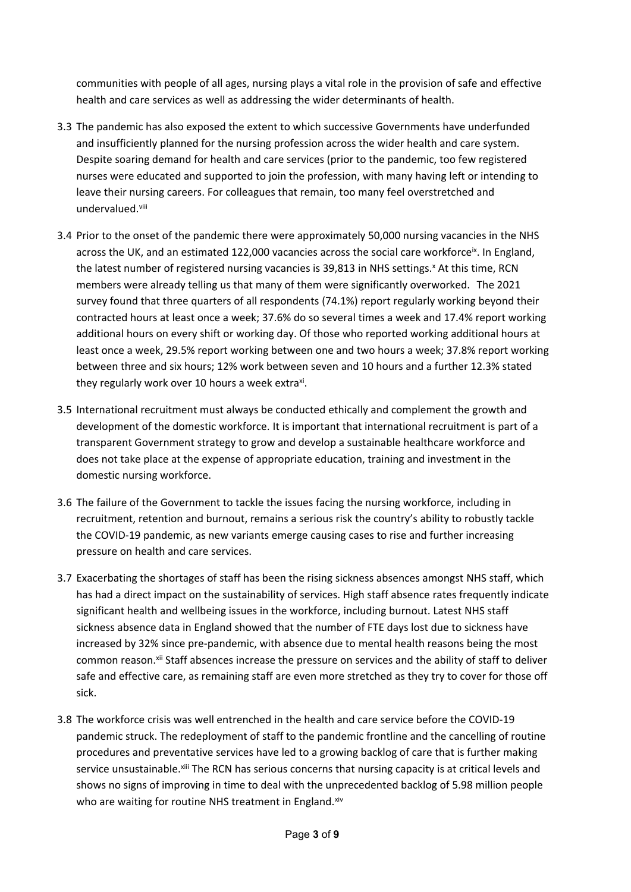communities with people of all ages, nursing plays a vital role in the provision of safe and effective health and care services as well as addressing the wider determinants of health.

- 3.3 The pandemic has also exposed the extent to which successive Governments have underfunded and insufficiently planned for the nursing profession across the wider health and care system. Despite soaring demand for health and care services (prior to the pandemic, too few registered nurses were educated and supported to join the profession, with many having left or intending to leave their nursing careers. For colleagues that remain, too many feel overstretched and undervalued.viii
- 3.4 Prior to the onset of the pandemic there were approximately 50,000 nursing vacancies in the NHS across the UK, and an estimated 122,000 vacancies across the social care workforce<sup>ix</sup>. In England, the latest number of registered nursing vacancies is 39,813 in NHS settings.<sup>x</sup> At this time, RCN members were already telling us that many of them were significantly overworked. The 2021 survey found that three quarters of all respondents (74.1%) report regularly working beyond their contracted hours at least once a week; 37.6% do so several times a week and 17.4% report working additional hours on every shift or working day. Of those who reported working additional hours at least once a week, 29.5% report working between one and two hours a week; 37.8% report working between three and six hours; 12% work between seven and 10 hours and a further 12.3% stated they regularly work over 10 hours a week extra<sup>xi</sup>.
- 3.5 International recruitment must always be conducted ethically and complement the growth and development of the domestic workforce. It is important that international recruitment is part of a transparent Government strategy to grow and develop a sustainable healthcare workforce and does not take place at the expense of appropriate education, training and investment in the domestic nursing workforce.
- 3.6 The failure of the Government to tackle the issues facing the nursing workforce, including in recruitment, retention and burnout, remains a serious risk the country's ability to robustly tackle the COVID-19 pandemic, as new variants emerge causing cases to rise and further increasing pressure on health and care services.
- 3.7 Exacerbating the shortages of staff has been the rising sickness absences amongst NHS staff, which has had a direct impact on the sustainability of services. High staff absence rates frequently indicate significant health and wellbeing issues in the workforce, including burnout. Latest NHS staff sickness absence data in England showed that the number of FTE days lost due to sickness have increased by 32% since pre-pandemic, with absence due to mental health reasons being the most common reason.<sup>xii</sup> Staff absences increase the pressure on services and the ability of staff to deliver safe and effective care, as remaining staff are even more stretched as they try to cover for those off sick.
- 3.8 The workforce crisis was well entrenched in the health and care service before the COVID-19 pandemic struck. The redeployment of staff to the pandemic frontline and the cancelling of routine procedures and preventative services have led to a growing backlog of care that is further making service unsustainable. Xiii The RCN has serious concerns that nursing capacity is at critical levels and shows no signs of improving in time to deal with the unprecedented backlog of 5.98 million people who are waiting for routine NHS treatment in England. Xiv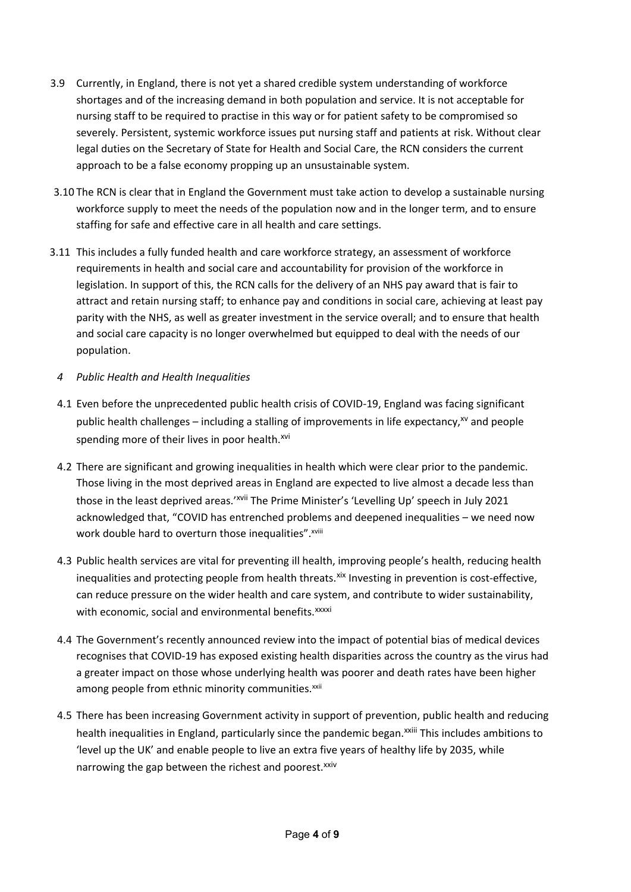- 3.9 Currently, in England, there is not yet a shared credible system understanding of workforce shortages and of the increasing demand in both population and service. It is not acceptable for nursing staff to be required to practise in this way or for patient safety to be compromised so severely. Persistent, systemic workforce issues put nursing staff and patients at risk. Without clear legal duties on the Secretary of State for Health and Social Care, the RCN considers the current approach to be a false economy propping up an unsustainable system.
- 3.10 The RCN is clear that in England the Government must take action to develop a sustainable nursing workforce supply to meet the needs of the population now and in the longer term, and to ensure staffing for safe and effective care in all health and care settings.
- 3.11 This includes a fully funded health and care workforce strategy, an assessment of workforce requirements in health and social care and accountability for provision of the workforce in legislation. In support of this, the RCN calls for the delivery of an NHS pay award that is fair to attract and retain nursing staff; to enhance pay and conditions in social care, achieving at least pay parity with the NHS, as well as greater investment in the service overall; and to ensure that health and social care capacity is no longer overwhelmed but equipped to deal with the needs of our population.

## *4 Public Health and Health Inequalities*

- 4.1 Even before the unprecedented public health crisis of COVID-19, England was facing significant public health challenges – including a stalling of improvements in life expectancy, $x^{y}$  and people spending more of their lives in poor health.<sup>xvi</sup>
- 4.2 There are significant and growing inequalities in health which were clear prior to the pandemic. Those living in the most deprived areas in England are expected to live almost a decade less than those in the least deprived areas.'<sup>xvii</sup> The Prime Minister's 'Levelling Up' speech in July 2021 acknowledged that, "COVID has entrenched problems and deepened inequalities – we need now work double hard to overturn those inequalities". xviii
- 4.3 Public health services are vital for preventing ill health, improving people's health, reducing health inequalities and protecting people from health threats. Xix Investing in prevention is cost-effective, can reduce pressure on the wider health and care system, and contribute to wider sustainability, with economic, social and environmental benefits.<sup>xxxxi</sup>
- 4.4 The Government's recently announced review into the impact of potential bias of medical devices recognises that COVID-19 has exposed existing health disparities across the country as the virus had a greater impact on those whose underlying health was poorer and death rates have been higher among people from ethnic minority communities.<sup>xxii</sup>
- 4.5 There has been increasing Government activity in support of prevention, public health and reducing health inequalities in England, particularly since the pandemic began.<sup>xxiii</sup> This includes ambitions to 'level up the UK' and enable people to live an extra five years of healthy life by 2035, while narrowing the gap between the richest and poorest.<sup>xxiv</sup>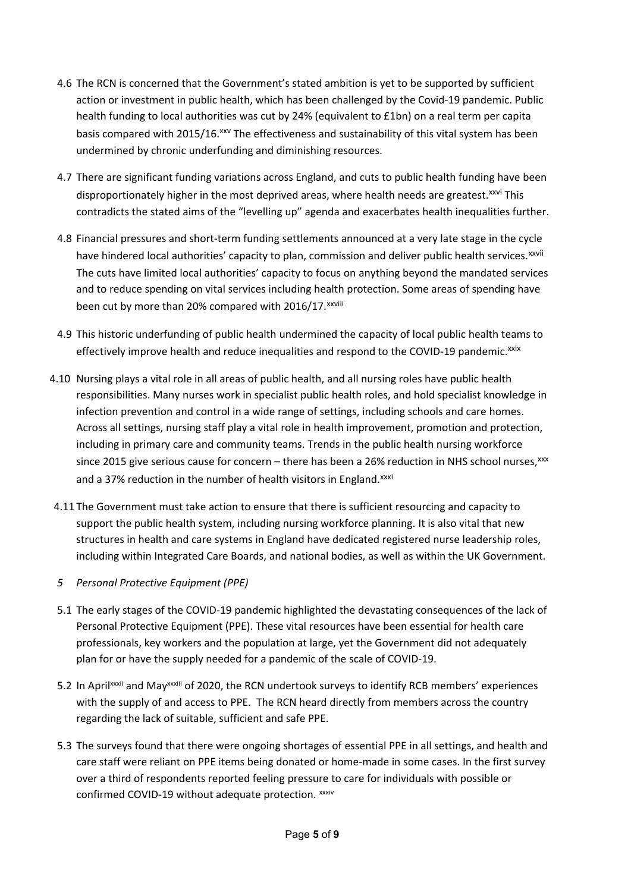- 4.6 The RCN is concerned that the Government's stated ambition is yet to be supported by sufficient action or investment in public health, which has been challenged by the Covid-19 pandemic. Public health funding to local authorities was cut by 24% (equivalent to £1bn) on a real term per capita basis compared with 2015/16. XXV The effectiveness and sustainability of this vital system has been undermined by chronic underfunding and diminishing resources.
- 4.7 There are significant funding variations across England, and cuts to public health funding have been disproportionately higher in the most deprived areas, where health needs are greatest.<sup>xxvi</sup> This contradicts the stated aims of the "levelling up" agenda and exacerbates health inequalities further.
- 4.8 Financial pressures and short-term funding settlements announced at a very late stage in the cycle have hindered local authorities' capacity to plan, commission and deliver public health services.<sup>xxvii</sup> The cuts have limited local authorities' capacity to focus on anything beyond the mandated services and to reduce spending on vital services including health protection. Some areas of spending have been cut by more than 20% compared with 2016/17. xxviii
- 4.9 This historic underfunding of public health undermined the capacity of local public health teams to effectively improve health and reduce inequalities and respond to the COVID-19 pandemic.<sup>xxix</sup>
- 4.10 Nursing plays a vital role in all areas of public health, and all nursing roles have public health responsibilities. Many nurses work in specialist public health roles, and hold specialist knowledge in infection prevention and control in a wide range of settings, including schools and care homes. Across all settings, nursing staff play a vital role in health improvement, promotion and protection, including in primary care and community teams. Trends in the public health nursing workforce since 2015 give serious cause for concern – there has been a 26% reduction in NHS school nurses, $^{xxx}$ and a 37% reduction in the number of health visitors in England.<sup>xxxi</sup>
- 4.11 The Government must take action to ensure that there is sufficient resourcing and capacity to support the public health system, including nursing workforce planning. It is also vital that new structures in health and care systems in England have dedicated registered nurse leadership roles, including within Integrated Care Boards, and national bodies, as well as within the UK Government.
- *5 Personal Protective Equipment (PPE)*
- 5.1 The early stages of the COVID-19 pandemic highlighted the devastating consequences of the lack of Personal Protective Equipment (PPE). These vital resources have been essential for health care professionals, key workers and the population at large, yet the Government did not adequately plan for or have the supply needed for a pandemic of the scale of COVID-19.
- 5.2 In Aprilxxxii and Mayxxxiii of 2020, the RCN undertook surveys to identify RCB members' experiences with the supply of and access to PPE. The RCN heard directly from members across the country regarding the lack of suitable, sufficient and safe PPE.
- 5.3 The surveys found that there were ongoing shortages of essential PPE in all settings, and health and care staff were reliant on PPE items being donated or home-made in some cases. In the first survey over a third of respondents reported feeling pressure to care for individuals with possible or confirmed COVID-19 without adequate protection. xxxiv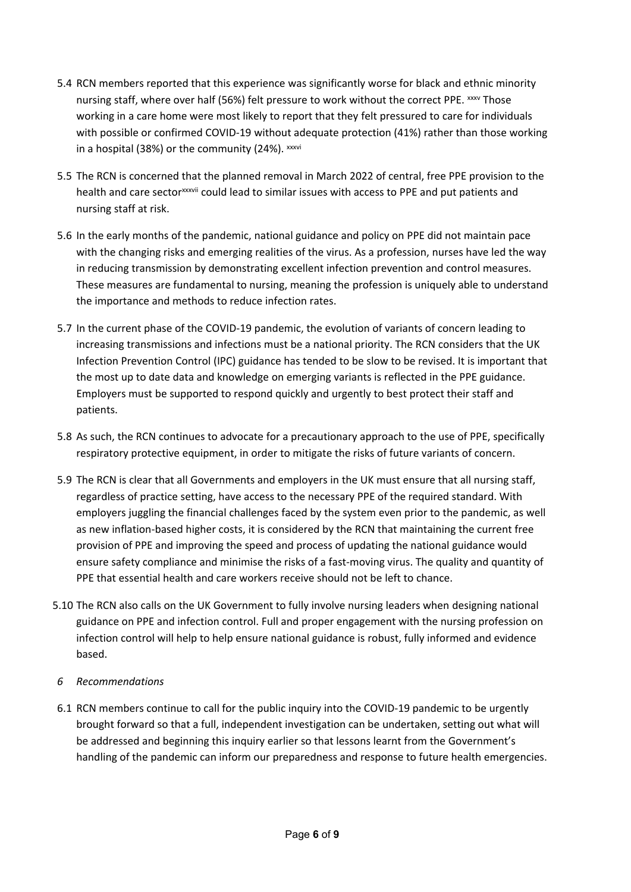- 5.4 RCN members reported that this experience was significantly worse for black and ethnic minority nursing staff, where over half (56%) felt pressure to work without the correct PPE. xxxv Those working in a care home were most likely to report that they felt pressured to care for individuals with possible or confirmed COVID-19 without adequate protection (41%) rather than those working in a hospital (38%) or the community (24%). xxxvi
- 5.5 The RCN is concerned that the planned removal in March 2022 of central, free PPE provision to the health and care sector<sup>xxxvii</sup> could lead to similar issues with access to PPE and put patients and nursing staff at risk.
- 5.6 In the early months of the pandemic, national guidance and policy on PPE did not maintain pace with the changing risks and emerging realities of the virus. As a profession, nurses have led the way in reducing transmission by demonstrating excellent infection prevention and control measures. These measures are fundamental to nursing, meaning the profession is uniquely able to understand the importance and methods to reduce infection rates.
- 5.7 In the current phase of the COVID-19 pandemic, the evolution of variants of concern leading to increasing transmissions and infections must be a national priority. The RCN considers that the UK Infection Prevention Control (IPC) guidance has tended to be slow to be revised. It is important that the most up to date data and knowledge on emerging variants is reflected in the PPE guidance. Employers must be supported to respond quickly and urgently to best protect their staff and patients.
- 5.8 As such, the RCN continues to advocate for a precautionary approach to the use of PPE, specifically respiratory protective equipment, in order to mitigate the risks of future variants of concern.
- 5.9 The RCN is clear that all Governments and employers in the UK must ensure that all nursing staff, regardless of practice setting, have access to the necessary PPE of the required standard. With employers juggling the financial challenges faced by the system even prior to the pandemic, as well as new inflation-based higher costs, it is considered by the RCN that maintaining the current free provision of PPE and improving the speed and process of updating the national guidance would ensure safety compliance and minimise the risks of a fast-moving virus. The quality and quantity of PPE that essential health and care workers receive should not be left to chance.
- 5.10 The RCN also calls on the UK Government to fully involve nursing leaders when designing national guidance on PPE and infection control. Full and proper engagement with the nursing profession on infection control will help to help ensure national guidance is robust, fully informed and evidence based.
- *6 Recommendations*
- 6.1 RCN members continue to call for the public inquiry into the COVID-19 pandemic to be urgently brought forward so that a full, independent investigation can be undertaken, setting out what will be addressed and beginning this inquiry earlier so that lessons learnt from the Government's handling of the pandemic can inform our preparedness and response to future health emergencies.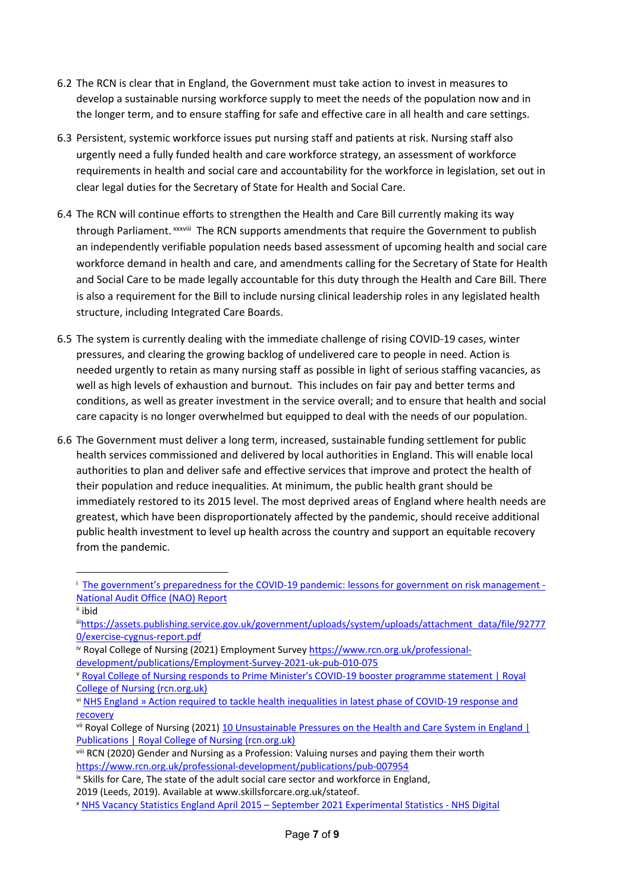- 6.2 The RCN is clear that in England, the Government must take action to invest in measures to develop a sustainable nursing workforce supply to meet the needs of the population now and in the longer term, and to ensure staffing for safe and effective care in all health and care settings.
- 6.3 Persistent, systemic workforce issues put nursing staff and patients at risk. Nursing staff also urgently need a fully funded health and care workforce strategy, an assessment of workforce requirements in health and social care and accountability for the workforce in legislation, set out in clear legal duties for the Secretary of State for Health and Social Care.
- 6.4 The RCN will continue efforts to strengthen the Health and Care Bill currently making its way through Parliament. xxxviii The RCN supports amendments that require the Government to publish an independently verifiable population needs based assessment of upcoming health and social care workforce demand in health and care, and amendments calling for the Secretary of State for Health and Social Care to be made legally accountable for this duty through the Health and Care Bill. There is also a requirement for the Bill to include nursing clinical leadership roles in any legislated health structure, including Integrated Care Boards.
- 6.5 The system is currently dealing with the immediate challenge of rising COVID-19 cases, winter pressures, and clearing the growing backlog of undelivered care to people in need. Action is needed urgently to retain as many nursing staff as possible in light of serious staffing vacancies, as well as high levels of exhaustion and burnout. This includes on fair pay and better terms and conditions, as well as greater investment in the service overall; and to ensure that health and social care capacity is no longer overwhelmed but equipped to deal with the needs of our population.
- 6.6 The Government must deliver a long term, increased, sustainable funding settlement for public health services commissioned and delivered by local authorities in England. This will enable local authorities to plan and deliver safe and effective services that improve and protect the health of their population and reduce inequalities. At minimum, the public health grant should be immediately restored to its 2015 level. The most deprived areas of England where health needs are greatest, which have been disproportionately affected by the pandemic, should receive additional public health investment to level up health across the country and support an equitable recovery from the pandemic.

<sup>&</sup>lt;sup>1</sup> [The](https://www.nao.org.uk/report/the-governments-preparedness-for-the-covid-19-pandemic/) [government's](https://www.nao.org.uk/report/the-governments-preparedness-for-the-covid-19-pandemic/) [preparedness](https://www.nao.org.uk/report/the-governments-preparedness-for-the-covid-19-pandemic/) [for](https://www.nao.org.uk/report/the-governments-preparedness-for-the-covid-19-pandemic/) [the](https://www.nao.org.uk/report/the-governments-preparedness-for-the-covid-19-pandemic/) [COVID-19](https://www.nao.org.uk/report/the-governments-preparedness-for-the-covid-19-pandemic/) [pandemic:](https://www.nao.org.uk/report/the-governments-preparedness-for-the-covid-19-pandemic/) [lessons](https://www.nao.org.uk/report/the-governments-preparedness-for-the-covid-19-pandemic/) for [government](https://www.nao.org.uk/report/the-governments-preparedness-for-the-covid-19-pandemic/) [on](https://www.nao.org.uk/report/the-governments-preparedness-for-the-covid-19-pandemic/) [risk](https://www.nao.org.uk/report/the-governments-preparedness-for-the-covid-19-pandemic/) [management](https://www.nao.org.uk/report/the-governments-preparedness-for-the-covid-19-pandemic/) [-](https://www.nao.org.uk/report/the-governments-preparedness-for-the-covid-19-pandemic/) [National](https://www.nao.org.uk/report/the-governments-preparedness-for-the-covid-19-pandemic/) [Audit](https://www.nao.org.uk/report/the-governments-preparedness-for-the-covid-19-pandemic/) [Office](https://www.nao.org.uk/report/the-governments-preparedness-for-the-covid-19-pandemic/) [\(NAO\)](https://www.nao.org.uk/report/the-governments-preparedness-for-the-covid-19-pandemic/) [Report](https://www.nao.org.uk/report/the-governments-preparedness-for-the-covid-19-pandemic/)

ii ibid

iii[https://assets.publishing.service.gov.uk/government/uploads/system/uploads/attachment\\_data/file/92777](https://assets.publishing.service.gov.uk/government/uploads/system/uploads/attachment_data/file/927770/exercise-cygnus-report.pdf) [0/exercise-cygnus-report.pdf](https://assets.publishing.service.gov.uk/government/uploads/system/uploads/attachment_data/file/927770/exercise-cygnus-report.pdf)

iv Royal College of Nursing (2021) Employment Survey [https://www.rcn.org.uk/professional](https://www.rcn.org.uk/professional-development/publications/Employment-Survey-2021-uk-pub-010-075)[development/publications/Employment-Survey-2021-uk-pub-010-075](https://www.rcn.org.uk/professional-development/publications/Employment-Survey-2021-uk-pub-010-075)

<sup>v</sup> [Royal](https://www.rcn.org.uk/news-and-events/press-releases/royal-college-of-nursing-responds-to-prime-minister-covid-19-booster-programme-statement) [College](https://www.rcn.org.uk/news-and-events/press-releases/royal-college-of-nursing-responds-to-prime-minister-covid-19-booster-programme-statement) [of](https://www.rcn.org.uk/news-and-events/press-releases/royal-college-of-nursing-responds-to-prime-minister-covid-19-booster-programme-statement) [Nursing](https://www.rcn.org.uk/news-and-events/press-releases/royal-college-of-nursing-responds-to-prime-minister-covid-19-booster-programme-statement) [responds](https://www.rcn.org.uk/news-and-events/press-releases/royal-college-of-nursing-responds-to-prime-minister-covid-19-booster-programme-statement) [to](https://www.rcn.org.uk/news-and-events/press-releases/royal-college-of-nursing-responds-to-prime-minister-covid-19-booster-programme-statement) [Prime](https://www.rcn.org.uk/news-and-events/press-releases/royal-college-of-nursing-responds-to-prime-minister-covid-19-booster-programme-statement) [Minister's](https://www.rcn.org.uk/news-and-events/press-releases/royal-college-of-nursing-responds-to-prime-minister-covid-19-booster-programme-statement) [COVID-19](https://www.rcn.org.uk/news-and-events/press-releases/royal-college-of-nursing-responds-to-prime-minister-covid-19-booster-programme-statement) [booster](https://www.rcn.org.uk/news-and-events/press-releases/royal-college-of-nursing-responds-to-prime-minister-covid-19-booster-programme-statement) [programme](https://www.rcn.org.uk/news-and-events/press-releases/royal-college-of-nursing-responds-to-prime-minister-covid-19-booster-programme-statement) [statement](https://www.rcn.org.uk/news-and-events/press-releases/royal-college-of-nursing-responds-to-prime-minister-covid-19-booster-programme-statement) [|](https://www.rcn.org.uk/news-and-events/press-releases/royal-college-of-nursing-responds-to-prime-minister-covid-19-booster-programme-statement) [Royal](https://www.rcn.org.uk/news-and-events/press-releases/royal-college-of-nursing-responds-to-prime-minister-covid-19-booster-programme-statement) [College](https://www.rcn.org.uk/news-and-events/press-releases/royal-college-of-nursing-responds-to-prime-minister-covid-19-booster-programme-statement) [of](https://www.rcn.org.uk/news-and-events/press-releases/royal-college-of-nursing-responds-to-prime-minister-covid-19-booster-programme-statement) [Nursing](https://www.rcn.org.uk/news-and-events/press-releases/royal-college-of-nursing-responds-to-prime-minister-covid-19-booster-programme-statement) [\(rcn.org.uk\)](https://www.rcn.org.uk/news-and-events/press-releases/royal-college-of-nursing-responds-to-prime-minister-covid-19-booster-programme-statement)

vi [NHS](https://www.england.nhs.uk/about/equality/equality-hub/action-required-to-tackle-health-inequalities-in-latest-phase-of-covid-19-response-and-recovery/) [England](https://www.england.nhs.uk/about/equality/equality-hub/action-required-to-tackle-health-inequalities-in-latest-phase-of-covid-19-response-and-recovery/) [»](https://www.england.nhs.uk/about/equality/equality-hub/action-required-to-tackle-health-inequalities-in-latest-phase-of-covid-19-response-and-recovery/) [Action](https://www.england.nhs.uk/about/equality/equality-hub/action-required-to-tackle-health-inequalities-in-latest-phase-of-covid-19-response-and-recovery/) [required](https://www.england.nhs.uk/about/equality/equality-hub/action-required-to-tackle-health-inequalities-in-latest-phase-of-covid-19-response-and-recovery/) [to](https://www.england.nhs.uk/about/equality/equality-hub/action-required-to-tackle-health-inequalities-in-latest-phase-of-covid-19-response-and-recovery/) [tackle](https://www.england.nhs.uk/about/equality/equality-hub/action-required-to-tackle-health-inequalities-in-latest-phase-of-covid-19-response-and-recovery/) [health](https://www.england.nhs.uk/about/equality/equality-hub/action-required-to-tackle-health-inequalities-in-latest-phase-of-covid-19-response-and-recovery/) [inequalities](https://www.england.nhs.uk/about/equality/equality-hub/action-required-to-tackle-health-inequalities-in-latest-phase-of-covid-19-response-and-recovery/) [in](https://www.england.nhs.uk/about/equality/equality-hub/action-required-to-tackle-health-inequalities-in-latest-phase-of-covid-19-response-and-recovery/) [latest](https://www.england.nhs.uk/about/equality/equality-hub/action-required-to-tackle-health-inequalities-in-latest-phase-of-covid-19-response-and-recovery/) [phase](https://www.england.nhs.uk/about/equality/equality-hub/action-required-to-tackle-health-inequalities-in-latest-phase-of-covid-19-response-and-recovery/) [of](https://www.england.nhs.uk/about/equality/equality-hub/action-required-to-tackle-health-inequalities-in-latest-phase-of-covid-19-response-and-recovery/) [COVID-19](https://www.england.nhs.uk/about/equality/equality-hub/action-required-to-tackle-health-inequalities-in-latest-phase-of-covid-19-response-and-recovery/) [response](https://www.england.nhs.uk/about/equality/equality-hub/action-required-to-tackle-health-inequalities-in-latest-phase-of-covid-19-response-and-recovery/) [and](https://www.england.nhs.uk/about/equality/equality-hub/action-required-to-tackle-health-inequalities-in-latest-phase-of-covid-19-response-and-recovery/) [recovery](https://www.england.nhs.uk/about/equality/equality-hub/action-required-to-tackle-health-inequalities-in-latest-phase-of-covid-19-response-and-recovery/)

vii Royal College of Nursing (2021) [10](https://www.rcn.org.uk/professional-development/publications/10-unsustainable-pressures-on-the-health-and-care-system-in-england-uk-pub-010-047) [Unsustainable](https://www.rcn.org.uk/professional-development/publications/10-unsustainable-pressures-on-the-health-and-care-system-in-england-uk-pub-010-047) [Pressures](https://www.rcn.org.uk/professional-development/publications/10-unsustainable-pressures-on-the-health-and-care-system-in-england-uk-pub-010-047) [on](https://www.rcn.org.uk/professional-development/publications/10-unsustainable-pressures-on-the-health-and-care-system-in-england-uk-pub-010-047) [the](https://www.rcn.org.uk/professional-development/publications/10-unsustainable-pressures-on-the-health-and-care-system-in-england-uk-pub-010-047) [Health](https://www.rcn.org.uk/professional-development/publications/10-unsustainable-pressures-on-the-health-and-care-system-in-england-uk-pub-010-047) [and](https://www.rcn.org.uk/professional-development/publications/10-unsustainable-pressures-on-the-health-and-care-system-in-england-uk-pub-010-047) [Care](https://www.rcn.org.uk/professional-development/publications/10-unsustainable-pressures-on-the-health-and-care-system-in-england-uk-pub-010-047) [System](https://www.rcn.org.uk/professional-development/publications/10-unsustainable-pressures-on-the-health-and-care-system-in-england-uk-pub-010-047) [in](https://www.rcn.org.uk/professional-development/publications/10-unsustainable-pressures-on-the-health-and-care-system-in-england-uk-pub-010-047) [England](https://www.rcn.org.uk/professional-development/publications/10-unsustainable-pressures-on-the-health-and-care-system-in-england-uk-pub-010-047) [|](https://www.rcn.org.uk/professional-development/publications/10-unsustainable-pressures-on-the-health-and-care-system-in-england-uk-pub-010-047) [Publications](https://www.rcn.org.uk/professional-development/publications/10-unsustainable-pressures-on-the-health-and-care-system-in-england-uk-pub-010-047) [|](https://www.rcn.org.uk/professional-development/publications/10-unsustainable-pressures-on-the-health-and-care-system-in-england-uk-pub-010-047) [Royal](https://www.rcn.org.uk/professional-development/publications/10-unsustainable-pressures-on-the-health-and-care-system-in-england-uk-pub-010-047) [College](https://www.rcn.org.uk/professional-development/publications/10-unsustainable-pressures-on-the-health-and-care-system-in-england-uk-pub-010-047) [of](https://www.rcn.org.uk/professional-development/publications/10-unsustainable-pressures-on-the-health-and-care-system-in-england-uk-pub-010-047) [Nursing](https://www.rcn.org.uk/professional-development/publications/10-unsustainable-pressures-on-the-health-and-care-system-in-england-uk-pub-010-047) [\(rcn.org.uk\)](https://www.rcn.org.uk/professional-development/publications/10-unsustainable-pressures-on-the-health-and-care-system-in-england-uk-pub-010-047)

viii RCN (2020) Gender and Nursing as a Profession: Valuing nurses and paying them their worth <https://www.rcn.org.uk/professional-development/publications/pub-007954>

ix Skills for Care, The state of the adult social care sector and workforce in England,

<sup>2019</sup> (Leeds, 2019). Available at www.skillsforcare.org.uk/stateof.

<sup>x</sup> [NHS](https://digital.nhs.uk/data-and-information/publications/statistical/nhs-vacancies-survey/april-2015---september-2021-experimental-statistics) [Vacancy](https://digital.nhs.uk/data-and-information/publications/statistical/nhs-vacancies-survey/april-2015---september-2021-experimental-statistics) [Statistics](https://digital.nhs.uk/data-and-information/publications/statistical/nhs-vacancies-survey/april-2015---september-2021-experimental-statistics) [England](https://digital.nhs.uk/data-and-information/publications/statistical/nhs-vacancies-survey/april-2015---september-2021-experimental-statistics) [April](https://digital.nhs.uk/data-and-information/publications/statistical/nhs-vacancies-survey/april-2015---september-2021-experimental-statistics) [2015](https://digital.nhs.uk/data-and-information/publications/statistical/nhs-vacancies-survey/april-2015---september-2021-experimental-statistics) [–](https://digital.nhs.uk/data-and-information/publications/statistical/nhs-vacancies-survey/april-2015---september-2021-experimental-statistics) [September](https://digital.nhs.uk/data-and-information/publications/statistical/nhs-vacancies-survey/april-2015---september-2021-experimental-statistics) [2021](https://digital.nhs.uk/data-and-information/publications/statistical/nhs-vacancies-survey/april-2015---september-2021-experimental-statistics) [Experimental](https://digital.nhs.uk/data-and-information/publications/statistical/nhs-vacancies-survey/april-2015---september-2021-experimental-statistics) [Statistics](https://digital.nhs.uk/data-and-information/publications/statistical/nhs-vacancies-survey/april-2015---september-2021-experimental-statistics) [-](https://digital.nhs.uk/data-and-information/publications/statistical/nhs-vacancies-survey/april-2015---september-2021-experimental-statistics) [NHS](https://digital.nhs.uk/data-and-information/publications/statistical/nhs-vacancies-survey/april-2015---september-2021-experimental-statistics) [Digital](https://digital.nhs.uk/data-and-information/publications/statistical/nhs-vacancies-survey/april-2015---september-2021-experimental-statistics)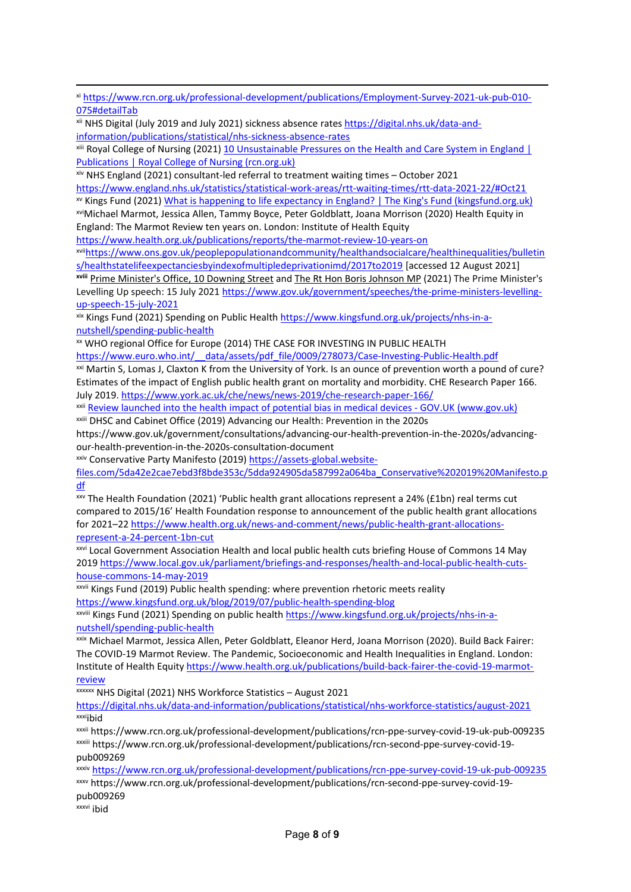xi [https://www.rcn.org.uk/professional-development/publications/Employment-Survey-2021-uk-pub-010-](https://www.rcn.org.uk/professional-development/publications/Employment-Survey-2021-uk-pub-010-075#detailTab) [075#detailTab](https://www.rcn.org.uk/professional-development/publications/Employment-Survey-2021-uk-pub-010-075#detailTab)

xii NHS Digital (July 2019 and July 2021) sickness absence rates [https://digital.nhs.uk/data-and](https://digital.nhs.uk/data-and-information/publications/statistical/nhs-sickness-absence-rates)[information/publications/statistical/nhs-sickness-absence-rates](https://digital.nhs.uk/data-and-information/publications/statistical/nhs-sickness-absence-rates)

<sup>xiii</sup> Royal College of Nursing (2021) [10](https://www.rcn.org.uk/professional-development/publications/10-unsustainable-pressures-on-the-health-and-care-system-in-england-uk-pub-010-047) [Unsustainable](https://www.rcn.org.uk/professional-development/publications/10-unsustainable-pressures-on-the-health-and-care-system-in-england-uk-pub-010-047) [Pressures](https://www.rcn.org.uk/professional-development/publications/10-unsustainable-pressures-on-the-health-and-care-system-in-england-uk-pub-010-047) [on](https://www.rcn.org.uk/professional-development/publications/10-unsustainable-pressures-on-the-health-and-care-system-in-england-uk-pub-010-047) [the](https://www.rcn.org.uk/professional-development/publications/10-unsustainable-pressures-on-the-health-and-care-system-in-england-uk-pub-010-047) [Health](https://www.rcn.org.uk/professional-development/publications/10-unsustainable-pressures-on-the-health-and-care-system-in-england-uk-pub-010-047) [and](https://www.rcn.org.uk/professional-development/publications/10-unsustainable-pressures-on-the-health-and-care-system-in-england-uk-pub-010-047) [Care](https://www.rcn.org.uk/professional-development/publications/10-unsustainable-pressures-on-the-health-and-care-system-in-england-uk-pub-010-047) [System](https://www.rcn.org.uk/professional-development/publications/10-unsustainable-pressures-on-the-health-and-care-system-in-england-uk-pub-010-047) [in](https://www.rcn.org.uk/professional-development/publications/10-unsustainable-pressures-on-the-health-and-care-system-in-england-uk-pub-010-047) [England](https://www.rcn.org.uk/professional-development/publications/10-unsustainable-pressures-on-the-health-and-care-system-in-england-uk-pub-010-047) [|](https://www.rcn.org.uk/professional-development/publications/10-unsustainable-pressures-on-the-health-and-care-system-in-england-uk-pub-010-047) [Publications](https://www.rcn.org.uk/professional-development/publications/10-unsustainable-pressures-on-the-health-and-care-system-in-england-uk-pub-010-047) [|](https://www.rcn.org.uk/professional-development/publications/10-unsustainable-pressures-on-the-health-and-care-system-in-england-uk-pub-010-047) [Royal](https://www.rcn.org.uk/professional-development/publications/10-unsustainable-pressures-on-the-health-and-care-system-in-england-uk-pub-010-047) [College](https://www.rcn.org.uk/professional-development/publications/10-unsustainable-pressures-on-the-health-and-care-system-in-england-uk-pub-010-047) [of](https://www.rcn.org.uk/professional-development/publications/10-unsustainable-pressures-on-the-health-and-care-system-in-england-uk-pub-010-047) [Nursing](https://www.rcn.org.uk/professional-development/publications/10-unsustainable-pressures-on-the-health-and-care-system-in-england-uk-pub-010-047) [\(rcn.org.uk\)](https://www.rcn.org.uk/professional-development/publications/10-unsustainable-pressures-on-the-health-and-care-system-in-england-uk-pub-010-047)

xiv NHS England (2021) consultant-led referral to treatment waiting times – October 2021 <https://www.england.nhs.uk/statistics/statistical-work-areas/rtt-waiting-times/rtt-data-2021-22/#Oct21> xv Kings Fund (2021) [What](https://www.kingsfund.org.uk/publications/whats-happening-life-expectancy-england) [is](https://www.kingsfund.org.uk/publications/whats-happening-life-expectancy-england) [happening](https://www.kingsfund.org.uk/publications/whats-happening-life-expectancy-england) [to](https://www.kingsfund.org.uk/publications/whats-happening-life-expectancy-england) [life](https://www.kingsfund.org.uk/publications/whats-happening-life-expectancy-england) [expectancy](https://www.kingsfund.org.uk/publications/whats-happening-life-expectancy-england) [in](https://www.kingsfund.org.uk/publications/whats-happening-life-expectancy-england) [England?](https://www.kingsfund.org.uk/publications/whats-happening-life-expectancy-england) [|](https://www.kingsfund.org.uk/publications/whats-happening-life-expectancy-england) [The](https://www.kingsfund.org.uk/publications/whats-happening-life-expectancy-england) [King's](https://www.kingsfund.org.uk/publications/whats-happening-life-expectancy-england) [Fund](https://www.kingsfund.org.uk/publications/whats-happening-life-expectancy-england) [\(kingsfund.org.uk\)](https://www.kingsfund.org.uk/publications/whats-happening-life-expectancy-england)

xviMichael Marmot, Jessica Allen, Tammy Boyce, Peter Goldblatt, Joana Morrison (2020) Health Equity in England: The Marmot Review ten years on. London: Institute of Health Equity

<https://www.health.org.uk/publications/reports/the-marmot-review-10-years-on>

xvii[https://www.ons.gov.uk/peoplepopulationandcommunity/healthandsocialcare/healthinequalities/bulletin](https://www.ons.gov.uk/peoplepopulationandcommunity/healthandsocialcare/healthinequalities/bulletins/healthstatelifeexpectanciesbyindexofmultipledeprivationimd/2017to2019) [s/healthstatelifeexpectanciesbyindexofmultipledeprivationimd/2017to2019](https://www.ons.gov.uk/peoplepopulationandcommunity/healthandsocialcare/healthinequalities/bulletins/healthstatelifeexpectanciesbyindexofmultipledeprivationimd/2017to2019) [accessed 12 August 2021]

**xviii** [Prime](https://www.gov.uk/government/organisations/prime-ministers-office-10-downing-street) [Minister's](https://www.gov.uk/government/organisations/prime-ministers-office-10-downing-street) [Office,](https://www.gov.uk/government/organisations/prime-ministers-office-10-downing-street) [10](https://www.gov.uk/government/organisations/prime-ministers-office-10-downing-street) [Downing](https://www.gov.uk/government/organisations/prime-ministers-office-10-downing-street) [Street](https://www.gov.uk/government/organisations/prime-ministers-office-10-downing-street) and [The](https://www.gov.uk/government/people/boris-johnson) [Rt](https://www.gov.uk/government/people/boris-johnson) [Hon](https://www.gov.uk/government/people/boris-johnson) [Boris](https://www.gov.uk/government/people/boris-johnson) [Johnson](https://www.gov.uk/government/people/boris-johnson) [MP](https://www.gov.uk/government/people/boris-johnson) (2021) The Prime Minister's Levelling Up speech: 15 July 2021 [https://www.gov.uk/government/speeches/the-prime-ministers-levelling](https://www.gov.uk/government/speeches/the-prime-ministers-levelling-up-speech-15-july-2021)[up-speech-15-july-2021](https://www.gov.uk/government/speeches/the-prime-ministers-levelling-up-speech-15-july-2021)

xix Kings Fund (2021) Spending on Public Health [https://www.kingsfund.org.uk/projects/nhs-in-a](https://www.kingsfund.org.uk/projects/nhs-in-a-nutshell/spending-public-health)[nutshell/spending-public-health](https://www.kingsfund.org.uk/projects/nhs-in-a-nutshell/spending-public-health)

xx WHO regional Office for Europe (2014) THE CASE FOR INVESTING IN PUBLIC HEALTH

https://www.euro.who.int/ data/assets/pdf file/0009/278073/Case-Investing-Public-Health.pdf xxi Martin S, Lomas J, Claxton K from the University of York. Is an ounce of prevention worth a pound of cure? Estimates of the impact of English public health grant on mortality and morbidity. CHE Research Paper 166. July 2019. <https://www.york.ac.uk/che/news/news-2019/che-research-paper-166/>

xxii [Review](https://www.gov.uk/government/news/review-launched-into-the-health-impact-of-potential-bias-in-medical-devices) [launched](https://www.gov.uk/government/news/review-launched-into-the-health-impact-of-potential-bias-in-medical-devices) [into](https://www.gov.uk/government/news/review-launched-into-the-health-impact-of-potential-bias-in-medical-devices) [the](https://www.gov.uk/government/news/review-launched-into-the-health-impact-of-potential-bias-in-medical-devices) [health](https://www.gov.uk/government/news/review-launched-into-the-health-impact-of-potential-bias-in-medical-devices) [impact](https://www.gov.uk/government/news/review-launched-into-the-health-impact-of-potential-bias-in-medical-devices) [of](https://www.gov.uk/government/news/review-launched-into-the-health-impact-of-potential-bias-in-medical-devices) [potential](https://www.gov.uk/government/news/review-launched-into-the-health-impact-of-potential-bias-in-medical-devices) [bias](https://www.gov.uk/government/news/review-launched-into-the-health-impact-of-potential-bias-in-medical-devices) [in](https://www.gov.uk/government/news/review-launched-into-the-health-impact-of-potential-bias-in-medical-devices) [medical](https://www.gov.uk/government/news/review-launched-into-the-health-impact-of-potential-bias-in-medical-devices) [devices](https://www.gov.uk/government/news/review-launched-into-the-health-impact-of-potential-bias-in-medical-devices) [-](https://www.gov.uk/government/news/review-launched-into-the-health-impact-of-potential-bias-in-medical-devices) [GOV.UK](https://www.gov.uk/government/news/review-launched-into-the-health-impact-of-potential-bias-in-medical-devices) [\(www.gov.uk\)](https://www.gov.uk/government/news/review-launched-into-the-health-impact-of-potential-bias-in-medical-devices) xxiii DHSC and Cabinet Office (2019) Advancing our Health: Prevention in the 2020s

https://www.gov.uk/government/consultations/advancing-our-health-prevention-in-the-2020s/advancingour-health-prevention-in-the-2020s-consultation-document

xxiv Conservative Party Manifesto (2019) [https://assets-global.website-](https://assets-global.website-files.com/5da42e2cae7ebd3f8bde353c/5dda924905da587992a064ba_Conservative%202019%20Manifesto.pdf)

[files.com/5da42e2cae7ebd3f8bde353c/5dda924905da587992a064ba\\_Conservative%202019%20Manifesto.p](https://assets-global.website-files.com/5da42e2cae7ebd3f8bde353c/5dda924905da587992a064ba_Conservative%202019%20Manifesto.pdf) [df](https://assets-global.website-files.com/5da42e2cae7ebd3f8bde353c/5dda924905da587992a064ba_Conservative%202019%20Manifesto.pdf)

xxv The Health Foundation (2021) 'Public health grant allocations represent a 24% (£1bn) real terms cut compared to 2015/16' Health Foundation response to announcement of the public health grant allocations for 2021–22 [https://www.health.org.uk/news-and-comment/news/public-health-grant-allocations](https://www.health.org.uk/news-and-comment/news/public-health-grant-allocations-represent-a-24-percent-1bn-cut)[represent-a-24-percent-1bn-cut](https://www.health.org.uk/news-and-comment/news/public-health-grant-allocations-represent-a-24-percent-1bn-cut)

xxvi Local Government Association Health and local public health cuts briefing House of Commons 14 May 2019 [https://www.local.gov.uk/parliament/briefings-and-responses/health-and-local-public-health-cuts](https://www.local.gov.uk/parliament/briefings-and-responses/health-and-local-public-health-cuts-house-commons-14-may-2019)[house-commons-14-may-2019](https://www.local.gov.uk/parliament/briefings-and-responses/health-and-local-public-health-cuts-house-commons-14-may-2019)

xxvii Kings Fund (2019) Public health spending: where prevention rhetoric meets reality <https://www.kingsfund.org.uk/blog/2019/07/public-health-spending-blog>

xxviii Kings Fund (2021) Spending on public health [https://www.kingsfund.org.uk/projects/nhs-in-a](https://www.kingsfund.org.uk/projects/nhs-in-a-nutshell/spending-public-health)[nutshell/spending-public-health](https://www.kingsfund.org.uk/projects/nhs-in-a-nutshell/spending-public-health)

xxix Michael Marmot, Jessica Allen, Peter Goldblatt, Eleanor Herd, Joana Morrison (2020). Build Back Fairer: The COVID-19 Marmot Review. The Pandemic, Socioeconomic and Health Inequalities in England. London: Institute of Health Equity [https://www.health.org.uk/publications/build-back-fairer-the-covid-19-marmot](https://www.health.org.uk/publications/build-back-fairer-the-covid-19-marmot-review)[review](https://www.health.org.uk/publications/build-back-fairer-the-covid-19-marmot-review)

xxxxx NHS Digital (2021) NHS Workforce Statistics - August 2021

<https://digital.nhs.uk/data-and-information/publications/statistical/nhs-workforce-statistics/august-2021> xxxiibid

xxxii https://www.rcn.org.uk/professional-development/publications/rcn-ppe-survey-covid-19-uk-pub-009235 xxxiii https://www.rcn.org.uk/professional-development/publications/rcn-second-ppe-survey-covid-19 pub009269

xxxiv <https://www.rcn.org.uk/professional-development/publications/rcn-ppe-survey-covid-19-uk-pub-009235> xxxv https://www.rcn.org.uk/professional-development/publications/rcn-second-ppe-survey-covid-19 pub009269 xxxvi ibid